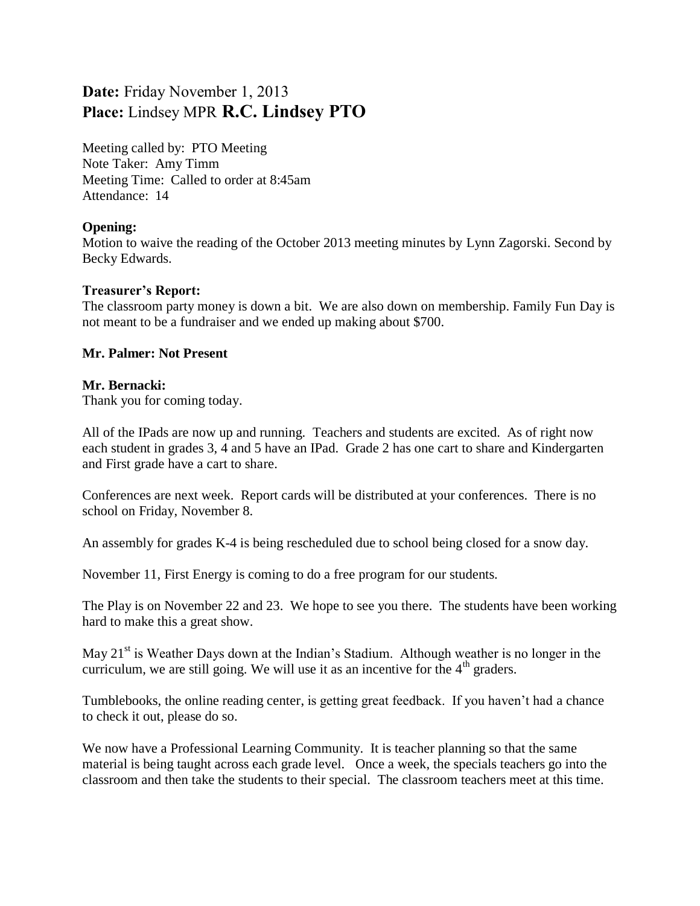# **Date:** Friday November 1, 2013 **Place:** Lindsey MPR **R.C. Lindsey PTO**

Meeting called by: PTO Meeting Note Taker: Amy Timm Meeting Time: Called to order at 8:45am Attendance: 14

#### **Opening:**

Motion to waive the reading of the October 2013 meeting minutes by Lynn Zagorski. Second by Becky Edwards.

## **Treasurer's Report:**

The classroom party money is down a bit. We are also down on membership. Family Fun Day is not meant to be a fundraiser and we ended up making about \$700.

## **Mr. Palmer: Not Present**

## **Mr. Bernacki:**

Thank you for coming today.

All of the IPads are now up and running. Teachers and students are excited. As of right now each student in grades 3, 4 and 5 have an IPad. Grade 2 has one cart to share and Kindergarten and First grade have a cart to share.

Conferences are next week. Report cards will be distributed at your conferences. There is no school on Friday, November 8.

An assembly for grades K-4 is being rescheduled due to school being closed for a snow day.

November 11, First Energy is coming to do a free program for our students.

The Play is on November 22 and 23. We hope to see you there. The students have been working hard to make this a great show.

May  $21<sup>st</sup>$  is Weather Days down at the Indian's Stadium. Although weather is no longer in the curriculum, we are still going. We will use it as an incentive for the  $4<sup>th</sup>$  graders.

Tumblebooks, the online reading center, is getting great feedback. If you haven't had a chance to check it out, please do so.

We now have a Professional Learning Community. It is teacher planning so that the same material is being taught across each grade level. Once a week, the specials teachers go into the classroom and then take the students to their special. The classroom teachers meet at this time.